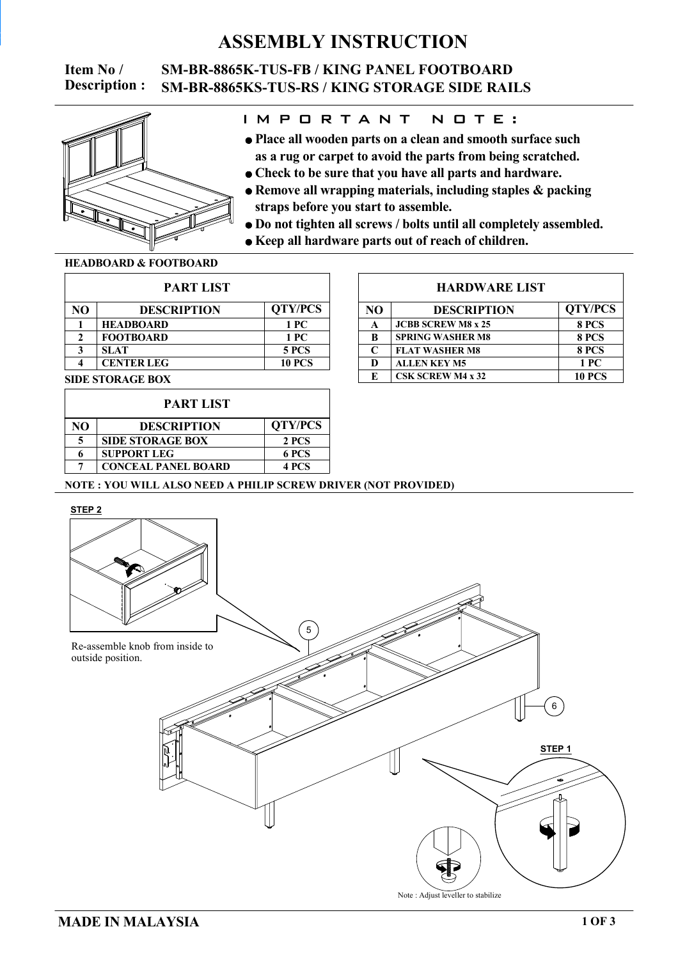# **ASSEMBLY INSTRUCTION**

**Item No / SM-BR-8865K-TUS-FB / KING PANEL FOOTBOARD Description : SM-BR-8865KS-TUS-RS / KING STORAGE SIDE RAILS**



### I M P O R T A N T N O T E :

- **as a rug or carpet to avoid the parts from being scratched. Place all wooden parts on a clean and smooth surface such**
- **Check to be sure that you have all parts and hardware.**
- **straps before you start to assemble. Remove all wrapping materials, including staples & packing**
- **Do not tighten all screws / bolts until all completely assembled.**
- **Keep all hardware parts out of reach of children.**

#### **HEADBOARD & FOOTBOARD**

| <b>PART LIST</b> |                    |                |  |  |
|------------------|--------------------|----------------|--|--|
| NΟ               | <b>DESCRIPTION</b> | <b>QTY/PCS</b> |  |  |
|                  | <b>HEADBOARD</b>   | 1 PC           |  |  |
|                  | <b>FOOTBOARD</b>   | 1 PC           |  |  |
| 2                | <b>SLAT</b>        | <b>5 PCS</b>   |  |  |
|                  | <b>CENTER LEG</b>  | <b>10 PCS</b>  |  |  |
|                  |                    |                |  |  |

#### **SIDE STORAGE BOX**

| <b>PART LIST</b> |                            |                |  |
|------------------|----------------------------|----------------|--|
| NO               | <b>DESCRIPTION</b>         | <b>QTY/PCS</b> |  |
| 5                | <b>SIDE STORAGE BOX</b>    | 2 PCS          |  |
| 6                | <b>SUPPORT LEG</b>         | 6 PCS          |  |
|                  | <b>CONCEAL PANEL BOARD</b> | <b>4 PCS</b>   |  |

#### **HARDWARE LIST**

| NO | <b>DESCRIPTION</b>        | <b>QTY/PCS</b> |  |
|----|---------------------------|----------------|--|
| A  | <b>JCBB SCREW M8 x 25</b> | 8 PCS          |  |
| B  | <b>SPRING WASHER M8</b>   | 8 PCS          |  |
| C  | <b>FLAT WASHER M8</b>     | 8 PCS          |  |
| D  | <b>ALLEN KEY M5</b>       | 1 PC           |  |
| E  | <b>CSK SCREW M4 x 32</b>  | <b>10 PCS</b>  |  |

#### **NOTE : YOU WILL ALSO NEED A PHILIP SCREW DRIVER (NOT PROVIDED)**

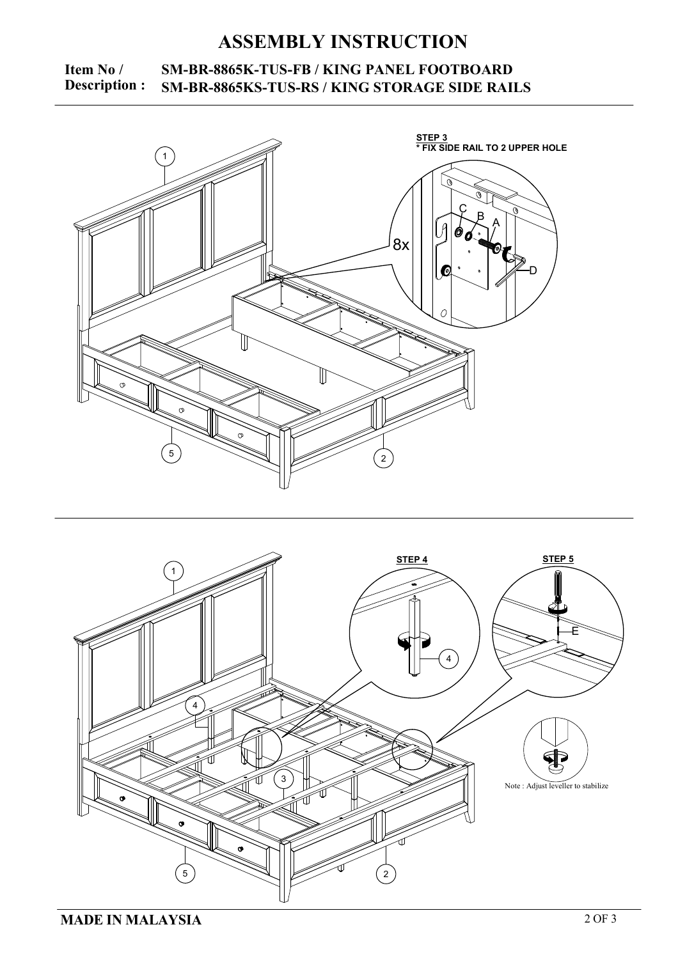# **ASSEMBLY INSTRUCTION**

### **Item No** / **SM-BR-8865K-TUS-FB** / **KING PANEL FOOTBOARD**<br>**Description :** SM-BR-8865KS-TUS-RS / KING STORAGE SIDE RAIL **Description : SM-BR-8865KS-TUS-RS / KING STORAGE SIDE RAILS**